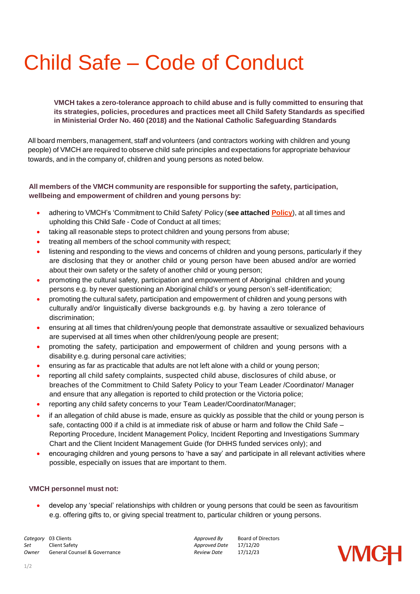## Child Safe – Code of Conduct

## **VMCH takes a zero-tolerance approach to child abuse and is fully committed to ensuring that its strategies, policies, procedures and practices meet all Child Safety Standards as specified in Ministerial Order No. 460 (2018) and the National Catholic Safeguarding Standards**

All board members, management, staff and volunteers (and contractors working with children and young people) of VMCH are required to observe child safe principles and expectations for appropriate behaviour towards, and in the company of, children and young persons as noted below.

## **All members of the VMCH community are responsible for supporting the safety, participation, wellbeing and empowerment of children and young persons by:**

- adhering to VMCH's 'Commitment to Child Safety' Policy (**see attached [Policy](https://vmch.com.au/wp-content/uploads/2021/01/Child-Safety-Policy.pdf)**), at all times and upholding this Child Safe - Code of Conduct at all times;
- taking all reasonable steps to protect children and young persons from abuse;
- treating all members of the school community with respect;
- listening and responding to the views and concerns of children and young persons, particularly if they are disclosing that they or another child or young person have been abused and/or are worried about their own safety or the safety of another child or young person;
- promoting the cultural safety, participation and empowerment of Aboriginal children and young persons e.g. by never questioning an Aboriginal child's or young person's self-identification;
- promoting the cultural safety, participation and empowerment of children and young persons with culturally and/or linguistically diverse backgrounds e.g. by having a zero tolerance of discrimination;
- ensuring at all times that children/young people that demonstrate assaultive or sexualized behaviours are supervised at all times when other children/young people are present;
- promoting the safety, participation and empowerment of children and young persons with a disability e.g. during personal care activities;
- ensuring as far as practicable that adults are not left alone with a child or young person;
- reporting all child safety complaints, suspected child abuse, disclosures of child abuse, or breaches of the Commitment to Child Safety Policy to your Team Leader /Coordinator/ Manager and ensure that any allegation is reported to child protection or the Victoria police;
- reporting any child safety concerns to your Team Leader/Coordinator/Manager;
- if an allegation of child abuse is made, ensure as quickly as possible that the child or young person is safe, contacting 000 if a child is at immediate risk of abuse or harm and follow the Child Safe – Reporting Procedure, Incident Management Policy, Incident Reporting and Investigations Summary Chart and the Client Incident Management Guide (for DHHS funded services only); and
- encouraging children and young persons to 'have a say' and participate in all relevant activities where possible, especially on issues that are important to them.

## **VMCH personnel must not:**

• develop any 'special' relationships with children or young persons that could be seen as favouritism e.g. offering gifts to, or giving special treatment to, particular children or young persons.

**Category** 03 Clients **Approved By** Board of Directors *Category* 03 Clients **Approved By** Board of Directors *Category* Client Safety *Set* Client Safety *Approved Date* 17/12/20 **General Counsel & Governance**